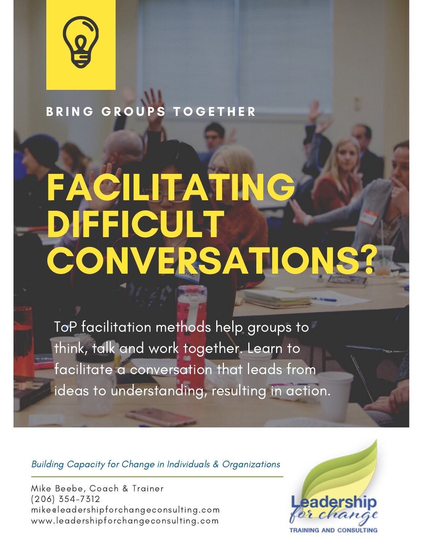

BRING GROUPS TOGETHER

## FACILITATING DIFFICULT CONVERSATION

ToP facilitation methods help groups to think, talk and work together. Learn to facilitate a conversation that leads from ideas to understanding, resulting in action.

Building Capacity for Change in Individuals & Organizations

Mike Beebe, Coach & Trainer (206) 354-7312 mike@leadershipforchangeconsulting.com www.leadershipforchangeconsulting.com